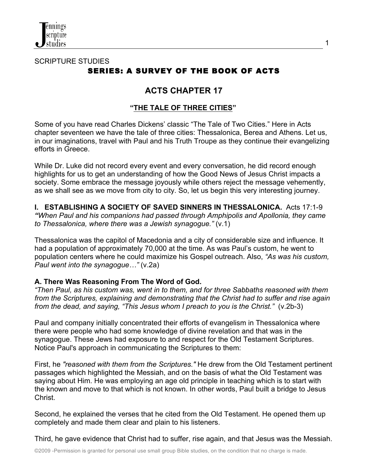

## SCRIPTURE STUDIES SERIES: A SURVEY OF THE BOOK OF ACTS

# **ACTS CHAPTER 17**

### **"THE TALE OF THREE CITIES"**

Some of you have read Charles Dickens' classic "The Tale of Two Cities." Here in Acts chapter seventeen we have the tale of three cities: Thessalonica, Berea and Athens. Let us, in our imaginations, travel with Paul and his Truth Troupe as they continue their evangelizing efforts in Greece.

While Dr. Luke did not record every event and every conversation, he did record enough highlights for us to get an understanding of how the Good News of Jesus Christ impacts a society. Some embrace the message joyously while others reject the message vehemently, as we shall see as we move from city to city. So, let us begin this very interesting journey.

**I. ESTABLISHING A SOCIETY OF SAVED SINNERS IN THESSALONICA.** Acts 17:1-9 *"When Paul and his companions had passed through Amphipolis and Apollonia, they came to Thessalonica, where there was a Jewish synagogue."* (v.1)

Thessalonica was the capitol of Macedonia and a city of considerable size and influence. It had a population of approximately 70,000 at the time. As was Paul's custom, he went to population centers where he could maximize his Gospel outreach. Also, *"As was his custom, Paul went into the synagogue…"* (v.2a)

### **A. There Was Reasoning From The Word of God.**

*"Then Paul, as his custom was, went in to them, and for three Sabbaths reasoned with them from the Scriptures, explaining and demonstrating that the Christ had to suffer and rise again from the dead, and saying, "This Jesus whom I preach to you is the Christ."* (v.2b-3)

Paul and company initially concentrated their efforts of evangelism in Thessalonica where there were people who had some knowledge of divine revelation and that was in the synagogue. These Jews had exposure to and respect for the Old Testament Scriptures. Notice Paul's approach in communicating the Scriptures to them:

First, he *"reasoned with them from the Scriptures."* He drew from the Old Testament pertinent passages which highlighted the Messiah, and on the basis of what the Old Testament was saying about Him. He was employing an age old principle in teaching which is to start with the known and move to that which is not known. In other words, Paul built a bridge to Jesus Christ.

Second, he explained the verses that he cited from the Old Testament. He opened them up completely and made them clear and plain to his listeners.

Third, he gave evidence that Christ had to suffer, rise again, and that Jesus was the Messiah.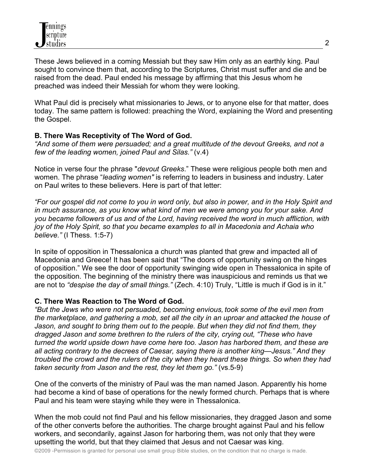These Jews believed in a coming Messiah but they saw Him only as an earthly king. Paul sought to convince them that, according to the Scriptures, Christ must suffer and die and be raised from the dead. Paul ended his message by affirming that this Jesus whom he preached was indeed their Messiah for whom they were looking.

What Paul did is precisely what missionaries to Jews, or to anyone else for that matter, does today. The same pattern is followed: preaching the Word, explaining the Word and presenting the Gospel.

### **B. There Was Receptivity of The Word of God.**

*"And some of them were persuaded; and a great multitude of the devout Greeks, and not a few of the leading women, joined Paul and Silas."* (v.4)

Notice in verse four the phrase "*devout Greeks*." These were religious people both men and women. The phrase "*leading women"* is referring to leaders in business and industry. Later on Paul writes to these believers. Here is part of that letter:

*"For our gospel did not come to you in word only, but also in power, and in the Holy Spirit and in much assurance, as you know what kind of men we were among you for your sake. And you became followers of us and of the Lord, having received the word in much affliction, with joy of the Holy Spirit, so that you became examples to all in Macedonia and Achaia who believe."* (I Thess. 1:5-7)

In spite of opposition in Thessalonica a church was planted that grew and impacted all of Macedonia and Greece! It has been said that "The doors of opportunity swing on the hinges of opposition." We see the door of opportunity swinging wide open in Thessalonica in spite of the opposition. The beginning of the ministry there was inauspicious and reminds us that we are not to *"despise the day of small things."* (Zech. 4:10) Truly, "Little is much if God is in it."

### **C. There Was Reaction to The Word of God.**

*"But the Jews who were not persuaded, becoming envious, took some of the evil men from the marketplace, and gathering a mob, set all the city in an uproar and attacked the house of Jason, and sought to bring them out to the people. But when they did not find them, they dragged Jason and some brethren to the rulers of the city, crying out, "These who have turned the world upside down have come here too. Jason has harbored them, and these are all acting contrary to the decrees of Caesar, saying there is another king—Jesus." And they troubled the crowd and the rulers of the city when they heard these things. So when they had taken security from Jason and the rest, they let them go."* (vs.5-9)

One of the converts of the ministry of Paul was the man named Jason. Apparently his home had become a kind of base of operations for the newly formed church. Perhaps that is where Paul and his team were staying while they were in Thessalonica.

When the mob could not find Paul and his fellow missionaries, they dragged Jason and some of the other converts before the authorities. The charge brought against Paul and his fellow workers, and secondarily, against Jason for harboring them, was not only that they were upsetting the world, but that they claimed that Jesus and not Caesar was king.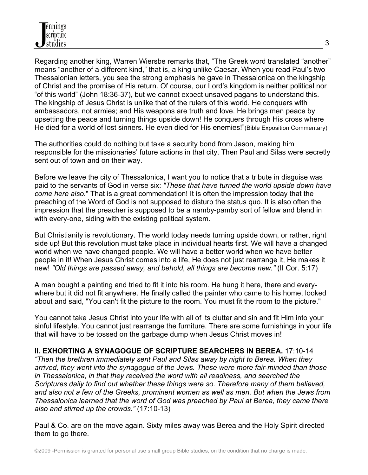Regarding another king, Warren Wiersbe remarks that, "The Greek word translated "another" means "another of a different kind," that is, a king unlike Caesar. When you read Paul's two Thessalonian letters, you see the strong emphasis he gave in Thessalonica on the kingship of Christ and the promise of His return. Of course, our Lord's kingdom is neither political nor "of this world" (John 18:36-37), but we cannot expect unsaved pagans to understand this. The kingship of Jesus Christ is unlike that of the rulers of this world. He conquers with ambassadors, not armies; and His weapons are truth and love. He brings men peace by upsetting the peace and turning things upside down! He conquers through His cross where He died for a world of lost sinners. He even died for His enemies!"(Bible Exposition Commentary)

The authorities could do nothing but take a security bond from Jason, making him responsible for the missionaries' future actions in that city. Then Paul and Silas were secretly sent out of town and on their way.

Before we leave the city of Thessalonica, I want you to notice that a tribute in disguise was paid to the servants of God in verse six: *"These that have turned the world upside down have come here also.*" That is a great commendation! It is often the impression today that the preaching of the Word of God is not supposed to disturb the status quo. It is also often the impression that the preacher is supposed to be a namby-pamby sort of fellow and blend in with every-one, siding with the existing political system.

But Christianity is revolutionary. The world today needs turning upside down, or rather, right side up! But this revolution must take place in individual hearts first. We will have a changed world when we have changed people. We will have a better world when we have better people in it! When Jesus Christ comes into a life, He does not just rearrange it, He makes it new! *"Old things are passed away, and behold, all things are become new."* (II Cor. 5:17)

A man bought a painting and tried to fit it into his room. He hung it here, there and everywhere but it did not fit anywhere. He finally called the painter who came to his home, looked about and said, "You can't fit the picture to the room. You must fit the room to the picture."

You cannot take Jesus Christ into your life with all of its clutter and sin and fit Him into your sinful lifestyle. You cannot just rearrange the furniture. There are some furnishings in your life that will have to be tossed on the garbage dump when Jesus Christ moves in!

**II. EXHORTING A SYNAGOGUE OF SCRIPTURE SEARCHERS IN BEREA.** 17:10-14 *"Then the brethren immediately sent Paul and Silas away by night to Berea. When they arrived, they went into the synagogue of the Jews. These were more fair-minded than those in Thessalonica, in that they received the word with all readiness, and searched the Scriptures daily to find out whether these things were so. Therefore many of them believed, and also not a few of the Greeks, prominent women as well as men. But when the Jews from Thessalonica learned that the word of God was preached by Paul at Berea, they came there also and stirred up the crowds."* (17:10-13)

Paul & Co. are on the move again. Sixty miles away was Berea and the Holy Spirit directed them to go there.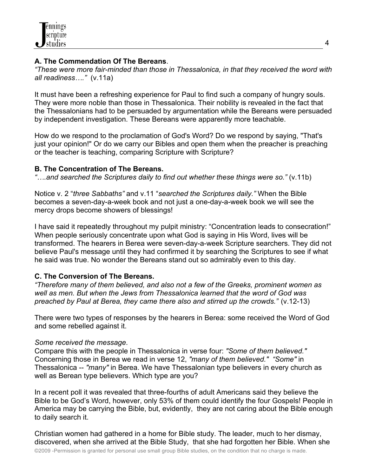### **A. The Commendation Of The Bereans**.

*"These were more fair-minded than those in Thessalonica, in that they received the word with all readiness…."* (v.11a)

It must have been a refreshing experience for Paul to find such a company of hungry souls. They were more noble than those in Thessalonica. Their nobility is revealed in the fact that the Thessalonians had to be persuaded by argumentation while the Bereans were persuaded by independent investigation. These Bereans were apparently more teachable.

How do we respond to the proclamation of God's Word? Do we respond by saying, "That's just your opinion!" Or do we carry our Bibles and open them when the preacher is preaching or the teacher is teaching, comparing Scripture with Scripture?

#### **B. The Concentration of The Bereans.**

*"….and searched the Scriptures daily to find out whether these things were so."* (v.11b)

Notice v. 2 "*three Sabbaths"* and v.11 "*searched the Scriptures daily."* When the Bible becomes a seven-day-a-week book and not just a one-day-a-week book we will see the mercy drops become showers of blessings!

I have said it repeatedly throughout my pulpit ministry: "Concentration leads to consecration!" When people seriously concentrate upon what God is saying in His Word, lives will be transformed. The hearers in Berea were seven-day-a-week Scripture searchers. They did not believe Paul's message until they had confirmed it by searching the Scriptures to see if what he said was true. No wonder the Bereans stand out so admirably even to this day.

### **C. The Conversion of The Bereans.**

*"Therefore many of them believed, and also not a few of the Greeks, prominent women as well as men. But when the Jews from Thessalonica learned that the word of God was preached by Paul at Berea, they came there also and stirred up the crowds."* (v.12-13)

There were two types of responses by the hearers in Berea: some received the Word of God and some rebelled against it.

### *Some received the message*.

Compare this with the people in Thessalonica in verse four: *"Some of them believed."* Concerning those in Berea we read in verse 12, *"many of them believed." "Some"* in Thessalonica -- *"many"* in Berea. We have Thessalonian type believers in every church as well as Berean type believers. Which type are you?

In a recent poll it was revealed that three-fourths of adult Americans said they believe the Bible to be God's Word, however, only 53% of them could identify the four Gospels! People in America may be carrying the Bible, but, evidently, they are not caring about the Bible enough to daily search it.

Christian women had gathered in a home for Bible study. The leader, much to her dismay, discovered, when she arrived at the Bible Study, that she had forgotten her Bible. When she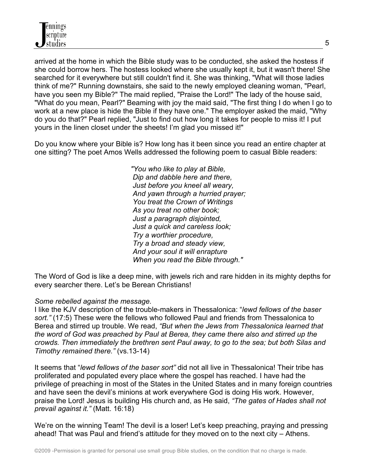

arrived at the home in which the Bible study was to be conducted, she asked the hostess if she could borrow hers. The hostess looked where she usually kept it, but it wasn't there! She searched for it everywhere but still couldn't find it. She was thinking, "What will those ladies think of me?" Running downstairs, she said to the newly employed cleaning woman, "Pearl, have you seen my Bible?" The maid replied, "Praise the Lord!" The lady of the house said, "What do you mean, Pearl?" Beaming with joy the maid said, "The first thing I do when I go to work at a new place is hide the Bible if they have one." The employer asked the maid, "Why do you do that?" Pearl replied, "Just to find out how long it takes for people to miss it! I put yours in the linen closet under the sheets! I'm glad you missed it!"

Do you know where your Bible is? How long has it been since you read an entire chapter at one sitting? The poet Amos Wells addressed the following poem to casual Bible readers:

> *"You who like to play at Bible, Dip and dabble here and there, Just before you kneel all weary, And yawn through a hurried prayer; You treat the Crown of Writings As you treat no other book; Just a paragraph disjointed, Just a quick and careless look; Try a worthier procedure, Try a broad and steady view, And your soul it will enrapture When you read the Bible through."*

The Word of God is like a deep mine, with jewels rich and rare hidden in its mighty depths for every searcher there. Let's be Berean Christians!

#### *Some rebelled against the message.*

I like the KJV description of the trouble-makers in Thessalonica: "*lewd fellows of the baser sort."* (17:5) These were the fellows who followed Paul and friends from Thessalonica to Berea and stirred up trouble. We read, *"But when the Jews from Thessalonica learned that the word of God was preached by Paul at Berea, they came there also and stirred up the crowds. Then immediately the brethren sent Paul away, to go to the sea; but both Silas and Timothy remained there."* (vs.13-14)

It seems that "*lewd fellows of the baser sort"* did not all live in Thessalonica! Their tribe has proliferated and populated every place where the gospel has reached. I have had the privilege of preaching in most of the States in the United States and in many foreign countries and have seen the devil's minions at work everywhere God is doing His work. However, praise the Lord! Jesus is building His church and, as He said, *"The gates of Hades shall not prevail against it."* (Matt. 16:18)

We're on the winning Team! The devil is a loser! Let's keep preaching, praying and pressing ahead! That was Paul and friend's attitude for they moved on to the next city – Athens.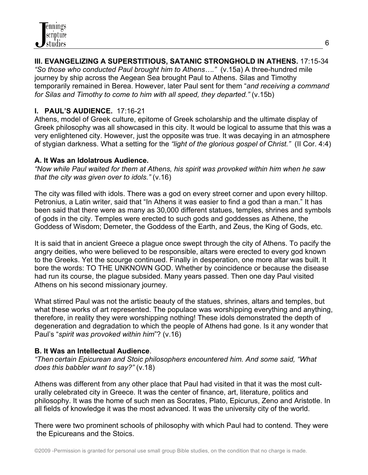## **III. EVANGELIZING A SUPERSTITIOUS, SATANIC STRONGHOLD IN ATHENS.** 17:15-34

*"So those who conducted Paul brought him to Athens…."* (v.15a) A three-hundred mile journey by ship across the Aegean Sea brought Paul to Athens. Silas and Timothy temporarily remained in Berea. However, later Paul sent for them "*and receiving a command for Silas and Timothy to come to him with all speed, they departed."* (v.15b)

## **I. PAUL'S AUDIENCE.** 17:16-21

Athens, model of Greek culture, epitome of Greek scholarship and the ultimate display of Greek philosophy was all showcased in this city. It would be logical to assume that this was a very enlightened city. However, just the opposite was true. It was decaying in an atmosphere of stygian darkness. What a setting for the *"light of the glorious gospel of Christ."* (II Cor. 4:4)

### **A. It Was an Idolatrous Audience.**

*"Now while Paul waited for them at Athens, his spirit was provoked within him when he saw that the city was given over to idols."* (v.16)

The city was filled with idols. There was a god on every street corner and upon every hilltop. Petronius, a Latin writer, said that "In Athens it was easier to find a god than a man." It has been said that there were as many as 30,000 different statues, temples, shrines and symbols of gods in the city. Temples were erected to such gods and goddesses as Athene, the Goddess of Wisdom; Demeter, the Goddess of the Earth, and Zeus, the King of Gods, etc.

It is said that in ancient Greece a plague once swept through the city of Athens. To pacify the angry deities, who were believed to be responsible, altars were erected to every god known to the Greeks. Yet the scourge continued. Finally in desperation, one more altar was built. It bore the words: TO THE UNKNOWN GOD. Whether by coincidence or because the disease had run its course, the plague subsided. Many years passed. Then one day Paul visited Athens on his second missionary journey.

What stirred Paul was not the artistic beauty of the statues, shrines, altars and temples, but what these works of art represented. The populace was worshipping everything and anything, therefore, in reality they were worshipping nothing! These idols demonstrated the depth of degeneration and degradation to which the people of Athens had gone. Is it any wonder that Paul's "*spirit was provoked within him*"? (v.16)

### **B. It Was an Intellectual Audience**.

*"Then certain Epicurean and Stoic philosophers encountered him. And some said, "What does this babbler want to say?"* (v.18)

Athens was different from any other place that Paul had visited in that it was the most culturally celebrated city in Greece. It was the center of finance, art, literature, politics and philosophy. It was the home of such men as Socrates, Plato, Epicurus, Zeno and Aristotle. In all fields of knowledge it was the most advanced. It was the university city of the world.

There were two prominent schools of philosophy with which Paul had to contend. They were the Epicureans and the Stoics.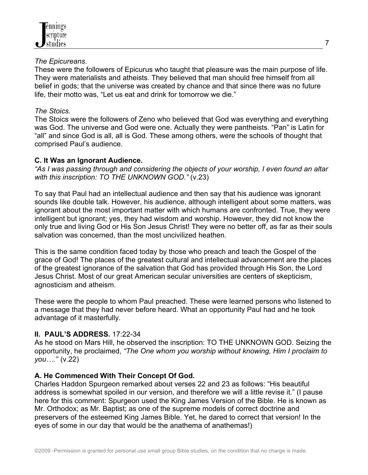#### *The Epicureans*.

These were the followers of Epicurus who taught that pleasure was the main purpose of life. They were materialists and atheists. They believed that man should free himself from all belief in gods; that the universe was created by chance and that since there was no future life, their motto was, "Let us eat and drink for tomorrow we die."

### *The Stoics.*

The Stoics were the followers of Zeno who believed that God was everything and everything was God. The universe and God were one. Actually they were pantheists. "Pan" is Latin for "all" and since God is all, all is God. These among others, were the schools of thought that comprised Paul's audience.

### **C. It Was an Ignorant Audience.**

*"As I was passing through and considering the objects of your worship, I even found an altar with this inscription: TO THE UNKNOWN GOD."* (v.23)

To say that Paul had an intellectual audience and then say that his audience was ignorant sounds like double talk. However, his audience, although intelligent about some matters, was ignorant about the most important matter with which humans are confronted. True, they were intelligent but ignorant; yes, they had wisdom and worship. However, they did not know the only true and living God or His Son Jesus Christ! They were no better off, as far as their souls salvation was concerned, than the most uncivilized heathen.

This is the same condition faced today by those who preach and teach the Gospel of the grace of God! The places of the greatest cultural and intellectual advancement are the places of the greatest ignorance of the salvation that God has provided through His Son, the Lord Jesus Christ. Most of our great American secular universities are centers of skepticism, agnosticism and atheism.

These were the people to whom Paul preached. These were learned persons who listened to a message that they had never before heard. What an opportunity Paul had and he took advantage of it masterfully.

## **II. PAUL'S ADDRESS.** 17:22-34

As he stood on Mars Hill, he observed the inscription: TO THE UNKNOWN GOD. Seizing the opportunity, he proclaimed, *"The One whom you worship without knowing, Him I proclaim to you…."* (v.22)

### **A. He Commenced With Their Concept Of God.**

Charles Haddon Spurgeon remarked about verses 22 and 23 as follows: "His beautiful address is somewhat spoiled in our version, and therefore we will a little revise it." (I pause here for this comment: Spurgeon used the King James Version of the Bible. He is known as Mr. Orthodox; as Mr. Baptist; as one of the supreme models of correct doctrine and preservers of the esteemed King James Bible. Yet, he dared to correct that version! In the eyes of some in our day that would be the anathema of anathemas!)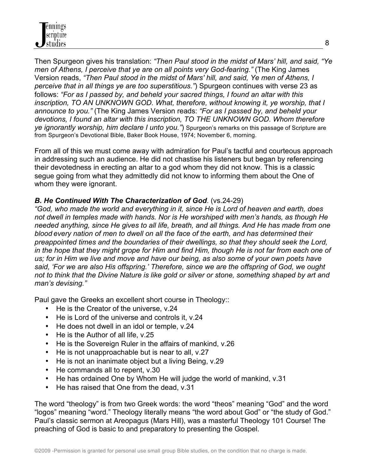

Then Spurgeon gives his translation: *"Then Paul stood in the midst of Mars' hill, and said, "Ye men of Athens, I perceive that ye are on all points very God-fearing."* (The King James Version reads, *"Then Paul stood in the midst of Mars' hill, and said, Ye men of Athens, I perceive that in all things ye are too superstitious."*) Spurgeon continues with verse 23 as follows: *"For as I passed by, and beheld your sacred things, I found an altar with this inscription, TO AN UNKNOWN GOD. What, therefore, without knowing it, ye worship, that I announce to you."* (The King James Version reads: *"For as I passed by, and beheld your devotions, I found an altar with this inscription, TO THE UNKNOWN GOD. Whom therefore ye ignorantly worship, him declare I unto you."*) Spurgeon's remarks on this passage of Scripture are from Spurgeon's Devotional Bible, Baker Book House, 1974; November 6, morning.

From all of this we must come away with admiration for Paul's tactful and courteous approach in addressing such an audience. He did not chastise his listeners but began by referencing their devotedness in erecting an altar to a god whom they did not know. This is a classic segue going from what they admittedly did not know to informing them about the One of whom they were ignorant.

#### *B. He Continued With The Characterization of God*. (vs.24-29)

*"God, who made the world and everything in it, since He is Lord of heaven and earth, does not dwell in temples made with hands. Nor is He worshiped with men's hands, as though He needed anything, since He gives to all life, breath, and all things. And He has made from one blood every nation of men to dwell on all the face of the earth, and has determined their preappointed times and the boundaries of their dwellings, so that they should seek the Lord, in the hope that they might grope for Him and find Him, though He is not far from each one of us; for in Him we live and move and have our being, as also some of your own poets have said, 'For we are also His offspring.' Therefore, since we are the offspring of God, we ought not to think that the Divine Nature is like gold or silver or stone, something shaped by art and man's devising."*

Paul gave the Greeks an excellent short course in Theology::

- He is the Creator of the universe, v.24
- He is Lord of the universe and controls it, y.24
- He does not dwell in an idol or temple, v.24
- He is the Author of all life, v.25
- He is the Sovereign Ruler in the affairs of mankind, v.26
- He is not unapproachable but is near to all, v.27
- He is not an inanimate object but a living Being, v.29
- He commands all to repent, v.30
- He has ordained One by Whom He will judge the world of mankind, v.31
- He has raised that One from the dead, v.31

The word "theology" is from two Greek words: the word "theos" meaning "God" and the word "logos" meaning "word." Theology literally means "the word about God" or "the study of God." Paul's classic sermon at Areopagus (Mars Hill), was a masterful Theology 101 Course! The preaching of God is basic to and preparatory to presenting the Gospel.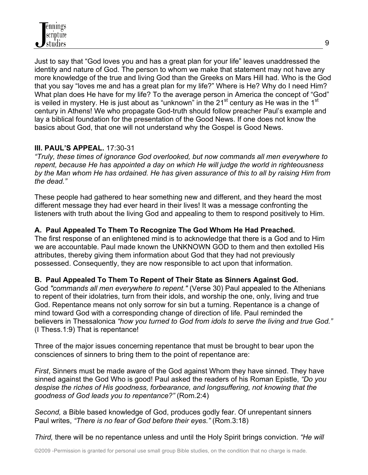

Just to say that "God loves you and has a great plan for your life" leaves unaddressed the identity and nature of God. The person to whom we make that statement may not have any more knowledge of the true and living God than the Greeks on Mars Hill had. Who is the God that you say "loves me and has a great plan for my life?" Where is He? Why do I need Him? What plan does He have for my life? To the average person in America the concept of "God" is veiled in mystery. He is just about as "unknown" in the  $21<sup>st</sup>$  century as He was in the  $1<sup>st</sup>$ century in Athens! We who propagate God-truth should follow preacher Paul's example and lay a biblical foundation for the presentation of the Good News. If one does not know the basics about God, that one will not understand why the Gospel is Good News.

### **III. PAUL'S APPEAL.** 17:30-31

*"Truly, these times of ignorance God overlooked, but now commands all men everywhere to repent, because He has appointed a day on which He will judge the world in righteousness by the Man whom He has ordained. He has given assurance of this to all by raising Him from the dead."*

These people had gathered to hear something new and different, and they heard the most different message they had ever heard in their lives! It was a message confronting the listeners with truth about the living God and appealing to them to respond positively to Him.

### **A. Paul Appealed To Them To Recognize The God Whom He Had Preached.**

The first response of an enlightened mind is to acknowledge that there is a God and to Him we are accountable. Paul made known the UNKNOWN GOD to them and then extolled His attributes, thereby giving them information about God that they had not previously possessed. Consequently, they are now responsible to act upon that information.

### **B. Paul Appealed To Them To Repent of Their State as Sinners Against God.**

God *"commands all men everywhere to repent."* (Verse 30) Paul appealed to the Athenians to repent of their idolatries, turn from their idols, and worship the one, only, living and true God. Repentance means not only sorrow for sin but a turning. Repentance is a change of mind toward God with a corresponding change of direction of life. Paul reminded the believers in Thessalonica *"how you turned to God from idols to serve the living and true God."* (I Thess.1:9) That is repentance!

Three of the major issues concerning repentance that must be brought to bear upon the consciences of sinners to bring them to the point of repentance are:

*First*, Sinners must be made aware of the God against Whom they have sinned. They have sinned against the God Who is good! Paul asked the readers of his Roman Epistle, *"Do you despise the riches of His goodness, forbearance, and longsuffering, not knowing that the goodness of God leads you to repentance?"* (Rom.2:4)

*Second,* a Bible based knowledge of God, produces godly fear. Of unrepentant sinners Paul writes, *"There is no fear of God before their eyes."* (Rom.3:18)

*Third,* there will be no repentance unless and until the Holy Spirit brings conviction. *"He will*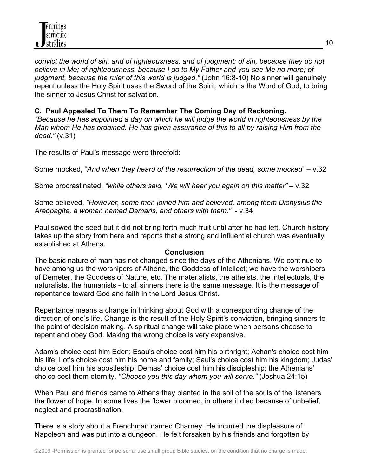*convict the world of sin, and of righteousness, and of judgment: of sin, because they do not believe in Me; of righteousness, because I go to My Father and you see Me no more; of judgment, because the ruler of this world is judged."* (John 16:8-10) No sinner will genuinely repent unless the Holy Spirit uses the Sword of the Spirit, which is the Word of God, to bring the sinner to Jesus Christ for salvation.

#### **C. Paul Appealed To Them To Remember The Coming Day of Reckoning.**

*"Because he has appointed a day on which he will judge the world in righteousness by the Man whom He has ordained. He has given assurance of this to all by raising Him from the dead."* (v.31)

The results of Paul's message were threefold:

Some mocked, "*And when they heard of the resurrection of the dead, some mocked"* – v.32

Some procrastinated, *"while others said, 'We will hear you again on this matter"* – v.32

Some believed, *"However, some men joined him and believed, among them Dionysius the Areopagite, a woman named Damaris, and others with them."* - v.34

Paul sowed the seed but it did not bring forth much fruit until after he had left. Church history takes up the story from here and reports that a strong and influential church was eventually established at Athens.

#### **Conclusion**

The basic nature of man has not changed since the days of the Athenians. We continue to have among us the worshipers of Athene, the Goddess of Intellect; we have the worshipers of Demeter, the Goddess of Nature, etc. The materialists, the atheists, the intellectuals, the naturalists, the humanists - to all sinners there is the same message. It is the message of repentance toward God and faith in the Lord Jesus Christ.

Repentance means a change in thinking about God with a corresponding change of the direction of one's life. Change is the result of the Holy Spirit's conviction, bringing sinners to the point of decision making. A spiritual change will take place when persons choose to repent and obey God. Making the wrong choice is very expensive.

Adam's choice cost him Eden; Esau's choice cost him his birthright; Achan's choice cost him his life; Lot's choice cost him his home and family; Saul's choice cost him his kingdom; Judas' choice cost him his apostleship; Demas' choice cost him his discipleship; the Athenians' choice cost them eternity. *"Choose you this day whom you will serve."* (Joshua 24:15)

When Paul and friends came to Athens they planted in the soil of the souls of the listeners the flower of hope. In some lives the flower bloomed, in others it died because of unbelief, neglect and procrastination.

There is a story about a Frenchman named Charney. He incurred the displeasure of Napoleon and was put into a dungeon. He felt forsaken by his friends and forgotten by